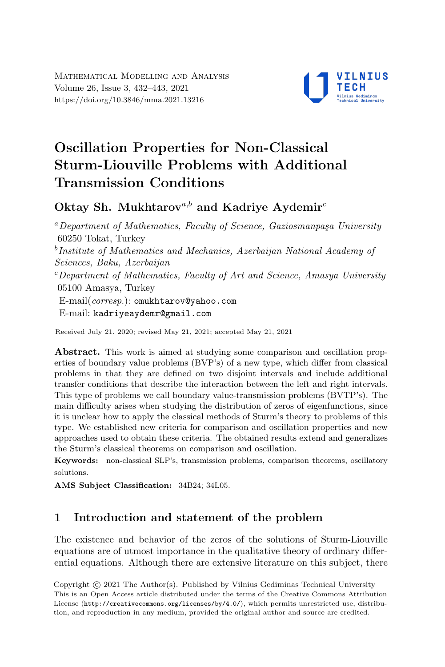

# Oscillation Properties for Non-Classical Sturm-Liouville Problems with Additional Transmission Conditions

# Oktay Sh. Mukhtarov<sup>a,b</sup> and Kadriye Aydemir<sup>c</sup>

 $a$ Department of Mathematics, Faculty of Science, Gaziosmanpaşa University 60250 Tokat, Turkey <sup>b</sup>Institute of Mathematics and Mechanics, Azerbaijan National Academy of Sciences, Baku, Azerbaijan  $c$ Department of Mathematics, Faculty of Art and Science, Amasya University 05100 Amasya, Turkey E-mail(corresp.): [omukhtarov@yahoo.com](mailto:omukhtarov@yahoo.com) E-mail: [kadriyeaydemr@gmail.com](mailto:kadriyeaydemr@gmail.com)

Received July 21, 2020; revised May 21, 2021; accepted May 21, 2021

Abstract. This work is aimed at studying some comparison and oscillation properties of boundary value problems (BVP's) of a new type, which differ from classical problems in that they are defined on two disjoint intervals and include additional transfer conditions that describe the interaction between the left and right intervals. This type of problems we call boundary value-transmission problems (BVTP's). The main difficulty arises when studying the distribution of zeros of eigenfunctions, since it is unclear how to apply the classical methods of Sturm's theory to problems of this type. We established new criteria for comparison and oscillation properties and new approaches used to obtain these criteria. The obtained results extend and generalizes the Sturm's classical theorems on comparison and oscillation.

Keywords: non-classical SLP's, transmission problems, comparison theorems, oscillatory solutions.

AMS Subject Classification: 34B24; 34L05.

## 1 Introduction and statement of the problem

The existence and behavior of the zeros of the solutions of Sturm-Liouville equations are of utmost importance in the qualitative theory of ordinary differential equations. Although there are extensive literature on this subject, there

Copyright (C) 2021 The Author(S). Published by Vilnius Gediminas Technical University<br>This is an Open Access article distributed under the terms of the Creative Commons Attribution Copyright  $\odot$  2021 The Author(s). Published by Vilnius Gediminas Technical University License (<http://creativecommons.org/licenses/by/4.0/>), which permits unrestricted use, distribution, and reproduction in any medium, provided the original author and source are credited.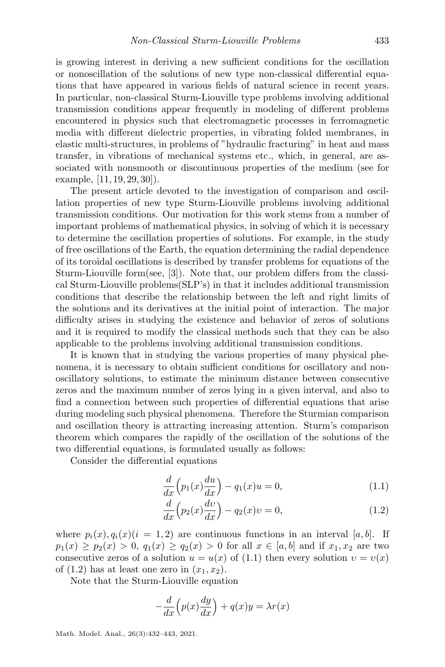is growing interest in deriving a new sufficient conditions for the oscillation or nonoscillation of the solutions of new type non-classical differential equations that have appeared in various fields of natural science in recent years. In particular, non-classical Sturm-Liouville type problems involving additional transmission conditions appear frequently in modeling of different problems encountered in physics such that electromagnetic processes in ferromagnetic media with different dielectric properties, in vibrating folded membranes, in elastic multi-structures, in problems of "hydraulic fracturing" in heat and mass transfer, in vibrations of mechanical systems etc., which, in general, are associated with nonsmooth or discontinuous properties of the medium (see for example, [\[11,](#page-10-0) [19,](#page-11-0) [29,](#page-11-1) [30\]](#page-11-2)).

The present article devoted to the investigation of comparison and oscillation properties of new type Sturm-Liouville problems involving additional transmission conditions. Our motivation for this work stems from a number of important problems of mathematical physics, in solving of which it is necessary to determine the oscillation properties of solutions. For example, in the study of free oscillations of the Earth, the equation determining the radial dependence of its toroidal oscillations is described by transfer problems for equations of the Sturm-Liouville form(see, [\[3\]](#page-9-0)). Note that, our problem differs from the classical Sturm-Liouville problems(SLP's) in that it includes additional transmission conditions that describe the relationship between the left and right limits of the solutions and its derivatives at the initial point of interaction. The major difficulty arises in studying the existence and behavior of zeros of solutions and it is required to modify the classical methods such that they can be also applicable to the problems involving additional transmission conditions.

It is known that in studying the various properties of many physical phenomena, it is necessary to obtain sufficient conditions for oscillatory and nonoscillatory solutions, to estimate the minimum distance between consecutive zeros and the maximum number of zeros lying in a given interval, and also to find a connection between such properties of differential equations that arise during modeling such physical phenomena. Therefore the Sturmian comparison and oscillation theory is attracting increasing attention. Sturm's comparison theorem which compares the rapidly of the oscillation of the solutions of the two differential equations, is formulated usually as follows:

Consider the differential equations

<span id="page-1-0"></span>
$$
\frac{d}{dx}\left(p_1(x)\frac{du}{dx}\right) - q_1(x)u = 0,\tag{1.1}
$$

<span id="page-1-1"></span>
$$
\frac{d}{dx}\left(p_2(x)\frac{dv}{dx}\right) - q_2(x)v = 0,\tag{1.2}
$$

where  $p_i(x), q_i(x)$  (i = 1, 2) are continuous functions in an interval [a, b]. If  $p_1(x) \geq p_2(x) > 0$ ,  $q_1(x) \geq q_2(x) > 0$  for all  $x \in [a, b]$  and if  $x_1, x_2$  are two consecutive zeros of a solution  $u = u(x)$  of [\(1.1\)](#page-1-0) then every solution  $v = v(x)$ of  $(1.2)$  has at least one zero in  $(x_1, x_2)$ .

Note that the Sturm-Liouville equation

$$
-\frac{d}{dx}\left(p(x)\frac{dy}{dx}\right) + q(x)y = \lambda r(x)
$$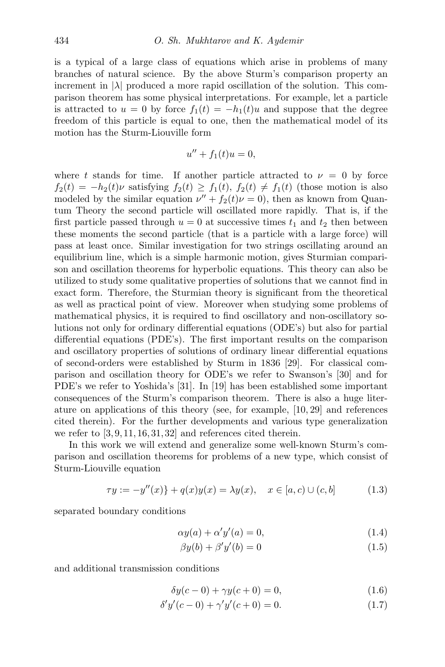is a typical of a large class of equations which arise in problems of many branches of natural science. By the above Sturm's comparison property an increment in  $|\lambda|$  produced a more rapid oscillation of the solution. This comparison theorem has some physical interpretations. For example, let a particle is attracted to  $u = 0$  by force  $f_1(t) = -h_1(t)u$  and suppose that the degree freedom of this particle is equal to one, then the mathematical model of its motion has the Sturm-Liouville form

$$
u'' + f_1(t)u = 0,
$$

where t stands for time. If another particle attracted to  $\nu = 0$  by force  $f_2(t) = -h_2(t)\nu$  satisfying  $f_2(t) \ge f_1(t), f_2(t) \ne f_1(t)$  (those motion is also modeled by the similar equation  $\nu'' + f_2(t)\nu = 0$ , then as known from Quantum Theory the second particle will oscillated more rapidly. That is, if the first particle passed through  $u = 0$  at successive times  $t_1$  and  $t_2$  then between these moments the second particle (that is a particle with a large force) will pass at least once. Similar investigation for two strings oscillating around an equilibrium line, which is a simple harmonic motion, gives Sturmian comparison and oscillation theorems for hyperbolic equations. This theory can also be utilized to study some qualitative properties of solutions that we cannot find in exact form. Therefore, the Sturmian theory is significant from the theoretical as well as practical point of view. Moreover when studying some problems of mathematical physics, it is required to find oscillatory and non-oscillatory solutions not only for ordinary differential equations (ODE's) but also for partial differential equations (PDE's). The first important results on the comparison and oscillatory properties of solutions of ordinary linear differential equations of second-orders were established by Sturm in 1836 [\[29\]](#page-11-1). For classical comparison and oscillation theory for ODE's we refer to Swanson's [\[30\]](#page-11-2) and for PDE's we refer to Yoshida's [\[31\]](#page-11-3). In [\[19\]](#page-11-0) has been established some important consequences of the Sturm's comparison theorem. There is also a huge literature on applications of this theory (see, for example, [\[10,](#page-10-1) [29\]](#page-11-1) and references cited therein). For the further developments and various type generalization we refer to  $[3, 9, 11, 16, 31, 32]$  $[3, 9, 11, 16, 31, 32]$  $[3, 9, 11, 16, 31, 32]$  $[3, 9, 11, 16, 31, 32]$  $[3, 9, 11, 16, 31, 32]$  $[3, 9, 11, 16, 31, 32]$  $[3, 9, 11, 16, 31, 32]$  $[3, 9, 11, 16, 31, 32]$  $[3, 9, 11, 16, 31, 32]$  $[3, 9, 11, 16, 31, 32]$  $[3, 9, 11, 16, 31, 32]$  and references cited therein.

In this work we will extend and generalize some well-known Sturm's comparison and oscillation theorems for problems of a new type, which consist of Sturm-Liouville equation

<span id="page-2-0"></span>
$$
\tau y := -y''(x)\} + q(x)y(x) = \lambda y(x), \quad x \in [a, c) \cup (c, b]
$$
 (1.3)

separated boundary conditions

$$
\alpha y(a) + \alpha' y'(a) = 0,\tag{1.4}
$$

<span id="page-2-4"></span><span id="page-2-3"></span><span id="page-2-2"></span><span id="page-2-1"></span>
$$
\beta y(b) + \beta' y'(b) = 0 \tag{1.5}
$$

and additional transmission conditions

$$
\delta y(c - 0) + \gamma y(c + 0) = 0,\tag{1.6}
$$

$$
\delta' y'(c - 0) + \gamma' y'(c + 0) = 0.
$$
\n(1.7)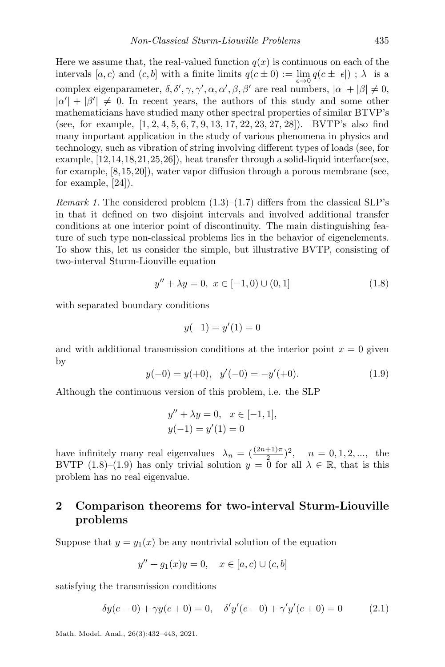Here we assume that, the real-valued function  $q(x)$  is continuous on each of the intervals  $[a, c)$  and  $(c, b]$  with a finite limits  $q(c \pm 0) := \lim_{\epsilon \to 0} q(c \pm |\epsilon|)$ ;  $\lambda$  is a complex eigenparameter,  $\delta, \delta', \gamma, \gamma', \alpha, \alpha', \beta, \beta'$  are real numbers,  $|\alpha| + |\beta| \neq 0$ ,  $|\alpha'| + |\beta'| \neq 0$ . In recent years, the authors of this study and some other mathematicians have studied many other spectral properties of similar BTVP's (see, for example, [\[1,](#page-9-1) [2,](#page-9-2) [4,](#page-10-4) [5,](#page-10-5) [6,](#page-10-6) [7,](#page-10-7) [9,](#page-10-2) [13,](#page-10-8) [17,](#page-10-9) [22,](#page-11-5) [23,](#page-11-6) [27,](#page-11-7) [28\]](#page-11-8)). BVTP's also find many important application in the study of various phenomena in physics and technology, such as vibration of string involving different types of loads (see, for example, [\[12,](#page-10-10)[14,](#page-10-11)[18,](#page-10-12)[21,](#page-11-9)[25,](#page-11-10)[26\]](#page-11-11)), heat transfer through a solid-liquid interface(see, for example, [\[8,](#page-10-13)[15,](#page-10-14)[20\]](#page-11-12)), water vapor diffusion through a porous membrane (see, for example, [\[24\]](#page-11-13)).

*Remark 1.* The considered problem  $(1.3)$ – $(1.7)$  differs from the classical SLP's in that it defined on two disjoint intervals and involved additional transfer conditions at one interior point of discontinuity. The main distinguishing feature of such type non-classical problems lies in the behavior of eigenelements. To show this, let us consider the simple, but illustrative BVTP, consisting of two-interval Sturm-Liouville equation

<span id="page-3-0"></span>
$$
y'' + \lambda y = 0, \ x \in [-1, 0) \cup (0, 1] \tag{1.8}
$$

with separated boundary conditions

$$
y(-1) = y'(1) = 0
$$

<span id="page-3-1"></span>and with additional transmission conditions at the interior point  $x = 0$  given by

$$
y(-0) = y(+0), \quad y'(-0) = -y'(+0). \tag{1.9}
$$

Although the continuous version of this problem, i.e. the SLP

$$
y'' + \lambda y = 0, \quad x \in [-1, 1],
$$
  

$$
y(-1) = y'(1) = 0
$$

have infinitely many real eigenvalues  $\lambda_n = \left(\frac{(2n+1)\pi}{2}\right)^2$ ,  $n = 0, 1, 2, \dots$ , the BVTP [\(1.8\)](#page-3-0)–[\(1.9\)](#page-3-1) has only trivial solution  $y = 0$  for all  $\lambda \in \mathbb{R}$ , that is this problem has no real eigenvalue.

## 2 Comparison theorems for two-interval Sturm-Liouville problems

Suppose that  $y = y_1(x)$  be any nontrivial solution of the equation

<span id="page-3-2"></span>
$$
y'' + g_1(x)y = 0, \quad x \in [a, c) \cup (c, b]
$$

satisfying the transmission conditions

$$
\delta y(c-0) + \gamma y(c+0) = 0, \quad \delta' y'(c-0) + \gamma' y'(c+0) = 0 \tag{2.1}
$$

Math. Model. Anal., 26(3):432–443, 2021.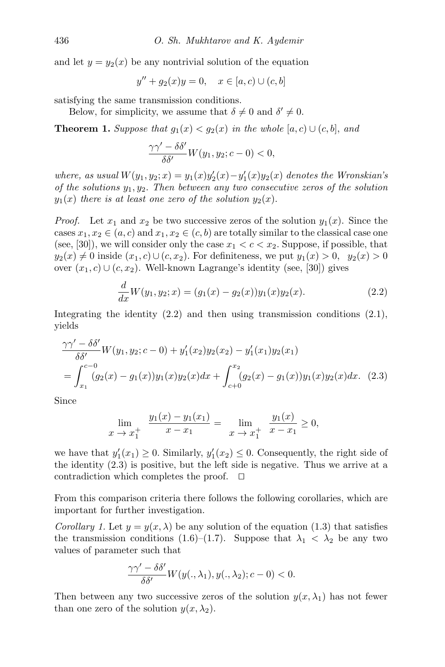and let  $y = y_2(x)$  be any nontrivial solution of the equation

$$
y'' + g_2(x)y = 0, \quad x \in [a, c) \cup (c, b]
$$

satisfying the same transmission conditions.

Below, for simplicity, we assume that  $\delta \neq 0$  and  $\delta' \neq 0$ .

**Theorem 1.** Suppose that  $g_1(x) < g_2(x)$  in the whole [a, c)  $\cup$  (c, b], and

<span id="page-4-2"></span>
$$
\frac{\gamma\gamma'-\delta\delta'}{\delta\delta'}W(y_1,y_2;c-0)<0,
$$

where, as usual  $W(y_1, y_2; x) = y_1(x)y_2'(x) - y_1'(x)y_2(x)$  denotes the Wronskian's of the solutions  $y_1, y_2$ . Then between any two consecutive zeros of the solution  $y_1(x)$  there is at least one zero of the solution  $y_2(x)$ .

*Proof.* Let  $x_1$  and  $x_2$  be two successive zeros of the solution  $y_1(x)$ . Since the cases  $x_1, x_2 \in (a, c)$  and  $x_1, x_2 \in (c, b)$  are totally similar to the classical case one (see, [\[30\]](#page-11-2)), we will consider only the case  $x_1 < c < x_2$ . Suppose, if possible, that  $y_2(x) \neq 0$  inside  $(x_1, c) \cup (c, x_2)$ . For definiteness, we put  $y_1(x) > 0$ ,  $y_2(x) > 0$ over  $(x_1, c) \cup (c, x_2)$ . Well-known Lagrange's identity (see, [\[30\]](#page-11-2)) gives

<span id="page-4-1"></span><span id="page-4-0"></span>
$$
\frac{d}{dx}W(y_1, y_2; x) = (g_1(x) - g_2(x))y_1(x)y_2(x).
$$
\n(2.2)

Integrating the identity  $(2.2)$  and then using transmission conditions  $(2.1)$ , yields

$$
\frac{\gamma\gamma' - \delta\delta'}{\delta\delta'} W(y_1, y_2; c - 0) + y_1'(x_2)y_2(x_2) - y_1'(x_1)y_2(x_1)
$$
  
= 
$$
\int_{x_1}^{c-0} (g_2(x) - g_1(x))y_1(x)y_2(x)dx + \int_{c+0}^{x_2} (g_2(x) - g_1(x))y_1(x)y_2(x)dx.
$$
 (2.3)

Since

$$
\lim_{x \to x_1^+} \frac{y_1(x) - y_1(x_1)}{x - x_1} = \lim_{x \to x_1^+} \frac{y_1(x)}{x - x_1} \ge 0,
$$

we have that  $y_1'(x_1) \geq 0$ . Similarly,  $y_1'(x_2) \leq 0$ . Consequently, the right side of the identity [\(2.3\)](#page-4-1) is positive, but the left side is negative. Thus we arrive at a contradiction which completes the proof.  $\Box$ 

From this comparison criteria there follows the following corollaries, which are important for further investigation.

Corollary 1. Let  $y = y(x, \lambda)$  be any solution of the equation [\(1.3\)](#page-2-0) that satisfies the transmission conditions [\(1.6\)](#page-2-2)–[\(1.7\)](#page-2-1). Suppose that  $\lambda_1 < \lambda_2$  be any two values of parameter such that

$$
\frac{\gamma\gamma'-\delta\delta'}{\delta\delta'}W(y(.,\lambda_1),y(.,\lambda_2);c-0)<0.
$$

Then between any two successive zeros of the solution  $y(x, \lambda_1)$  has not fewer than one zero of the solution  $y(x, \lambda_2)$ .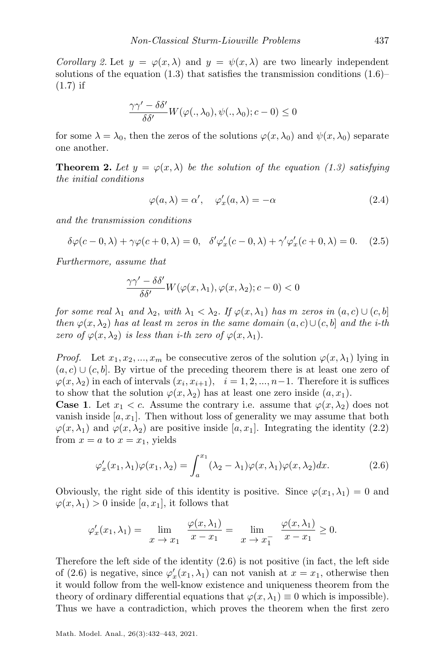Corollary 2. Let  $y = \varphi(x, \lambda)$  and  $y = \psi(x, \lambda)$  are two linearly independent solutions of the equation  $(1.3)$  that satisfies the transmission conditions  $(1.6)$ –  $(1.7)$  if

$$
\frac{\gamma\gamma'-\delta\delta'}{\delta\delta'}W(\varphi(.,\lambda_0),\psi(.,\lambda_0);c-0)\leq 0
$$

for some  $\lambda = \lambda_0$ , then the zeros of the solutions  $\varphi(x, \lambda_0)$  and  $\psi(x, \lambda_0)$  separate one another.

<span id="page-5-2"></span>**Theorem 2.** Let  $y = \varphi(x, \lambda)$  be the solution of the equation [\(1.3\)](#page-2-0) satisfying the initial conditions

$$
\varphi(a,\lambda) = \alpha', \quad \varphi_x'(a,\lambda) = -\alpha \tag{2.4}
$$

and the transmission conditions

<span id="page-5-1"></span>
$$
\delta\varphi(c-0,\lambda) + \gamma\varphi(c+0,\lambda) = 0, \quad \delta'\varphi'_x(c-0,\lambda) + \gamma'\varphi'_x(c+0,\lambda) = 0. \tag{2.5}
$$

Furthermore, assume that

$$
\frac{\gamma\gamma'-\delta\delta'}{\delta\delta'}W(\varphi(x,\lambda_1),\varphi(x,\lambda_2);c-0)<0
$$

for some real  $\lambda_1$  and  $\lambda_2$ , with  $\lambda_1 < \lambda_2$ . If  $\varphi(x, \lambda_1)$  has m zeros in  $(a, c) \cup (c, b]$ then  $\varphi(x, \lambda_2)$  has at least m zeros in the same domain  $(a, c) \cup (c, b]$  and the i-th zero of  $\varphi(x, \lambda_2)$  is less than *i*-th zero of  $\varphi(x, \lambda_1)$ .

*Proof.* Let  $x_1, x_2, ..., x_m$  be consecutive zeros of the solution  $\varphi(x, \lambda_1)$  lying in  $(a, c) \cup (c, b]$ . By virtue of the preceding theorem there is at least one zero of  $\varphi(x, \lambda_2)$  in each of intervals  $(x_i, x_{i+1}), \quad i = 1, 2, ..., n-1$ . Therefore it is suffices to show that the solution  $\varphi(x, \lambda_2)$  has at least one zero inside  $(a, x_1)$ .

**Case 1.** Let  $x_1 < c$ . Assume the contrary i.e. assume that  $\varphi(x, \lambda_2)$  does not vanish inside  $[a, x_1]$ . Then without loss of generality we may assume that both  $\varphi(x, \lambda_1)$  and  $\varphi(x, \lambda_2)$  are positive inside [a, x<sub>1</sub>]. Integrating the identity [\(2.2\)](#page-4-0) from  $x = a$  to  $x = x_1$ , yields

<span id="page-5-0"></span>
$$
\varphi'_x(x_1, \lambda_1)\varphi(x_1, \lambda_2) = \int_a^{x_1} (\lambda_2 - \lambda_1)\varphi(x, \lambda_1)\varphi(x, \lambda_2) dx.
$$
 (2.6)

Obviously, the right side of this identity is positive. Since  $\varphi(x_1, \lambda_1) = 0$  and  $\varphi(x, \lambda_1) > 0$  inside  $[a, x_1]$ , it follows that

$$
\varphi'_x(x_1,\lambda_1) = \lim_{x \to x_1} \frac{\varphi(x,\lambda_1)}{x - x_1} = \lim_{x \to x_1^-} \frac{\varphi(x,\lambda_1)}{x - x_1} \ge 0.
$$

Therefore the left side of the identity [\(2.6\)](#page-5-0) is not positive (in fact, the left side of [\(2.6\)](#page-5-0) is negative, since  $\varphi'_x(x_1, \lambda_1)$  can not vanish at  $x = x_1$ , otherwise then it would follow from the well-know existence and uniqueness theorem from the theory of ordinary differential equations that  $\varphi(x, \lambda_1) \equiv 0$  which is impossible). Thus we have a contradiction, which proves the theorem when the first zero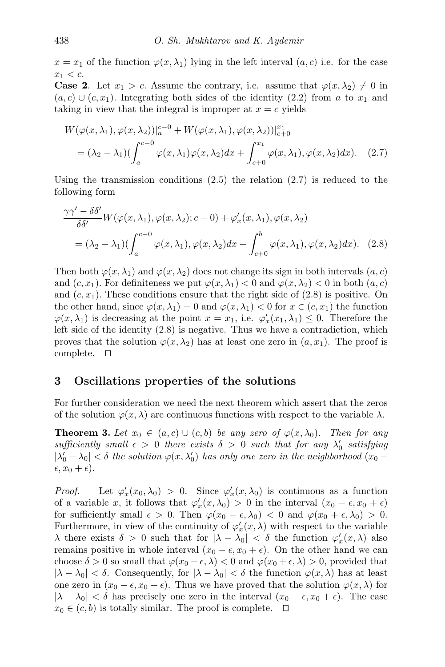$x = x_1$  of the function  $\varphi(x, \lambda_1)$  lying in the left interval  $(a, c)$  i.e. for the case  $x_1 < c$ .

**Case 2.** Let  $x_1 > c$ . Assume the contrary, i.e. assume that  $\varphi(x, \lambda_2) \neq 0$  in  $(a, c) \cup (c, x_1)$ . Integrating both sides of the identity [\(2.2\)](#page-4-0) from a to  $x_1$  and taking in view that the integral is improper at  $x = c$  yields

<span id="page-6-0"></span>
$$
W(\varphi(x,\lambda_1),\varphi(x,\lambda_2))|_a^{c-0} + W(\varphi(x,\lambda_1),\varphi(x,\lambda_2))|_{c+0}^{x_1}
$$
  
=  $(\lambda_2 - \lambda_1) \left( \int_a^{c-0} \varphi(x,\lambda_1)\varphi(x,\lambda_2)dx + \int_{c+0}^{x_1} \varphi(x,\lambda_1),\varphi(x,\lambda_2)dx \right).$  (2.7)

Using the transmission conditions  $(2.5)$  the relation  $(2.7)$  is reduced to the following form

<span id="page-6-1"></span>
$$
\frac{\gamma\gamma' - \delta\delta'}{\delta\delta'} W(\varphi(x,\lambda_1),\varphi(x,\lambda_2);c-0) + \varphi'_x(x,\lambda_1),\varphi(x,\lambda_2)
$$
  
=  $(\lambda_2 - \lambda_1) (\int_a^{c-0} \varphi(x,\lambda_1),\varphi(x,\lambda_2)dx + \int_{c+0}^b \varphi(x,\lambda_1),\varphi(x,\lambda_2)dx).$  (2.8)

Then both  $\varphi(x, \lambda_1)$  and  $\varphi(x, \lambda_2)$  does not change its sign in both intervals  $(a, c)$ and  $(c, x_1)$ . For definiteness we put  $\varphi(x, \lambda_1) < 0$  and  $\varphi(x, \lambda_2) < 0$  in both  $(a, c)$ and  $(c, x<sub>1</sub>)$ . These conditions ensure that the right side of  $(2.8)$  is positive. On the other hand, since  $\varphi(x, \lambda_1) = 0$  and  $\varphi(x, \lambda_1) < 0$  for  $x \in (c, x_1)$  the function  $\varphi(x, \lambda_1)$  is decreasing at the point  $x = x_1$ , i.e.  $\varphi'_x(x_1, \lambda_1) \leq 0$ . Therefore the left side of the identity [\(2.8\)](#page-6-1) is negative. Thus we have a contradiction, which proves that the solution  $\varphi(x, \lambda_2)$  has at least one zero in  $(a, x_1)$ . The proof is complete.  $\square$ 

### 3 Oscillations properties of the solutions

For further consideration we need the next theorem which assert that the zeros of the solution  $\varphi(x, \lambda)$  are continuous functions with respect to the variable  $\lambda$ .

**Theorem 3.** Let  $x_0 \in (a, c) \cup (c, b)$  be any zero of  $\varphi(x, \lambda_0)$ . Then for any sufficiently small  $\epsilon > 0$  there exists  $\delta > 0$  such that for any  $\lambda'_0$  satisfying  $|\lambda'_0 - \lambda_0| < \delta$  the solution  $\varphi(x, \lambda'_0)$  has only one zero in the neighborhood  $(x_0 - \lambda_0)$  $(\epsilon, x_0 + \epsilon).$ 

*Proof.* Let  $\varphi'_x(x_0, \lambda_0) > 0$ . Since  $\varphi'_x(x, \lambda_0)$  is continuous as a function of a variable x, it follows that  $\varphi'_x(x,\lambda_0) > 0$  in the interval  $(x_0 - \epsilon, x_0 + \epsilon)$ for sufficiently small  $\epsilon > 0$ . Then  $\varphi(x_0 - \epsilon, \lambda_0) < 0$  and  $\varphi(x_0 + \epsilon, \lambda_0) > 0$ . Furthermore, in view of the continuity of  $\varphi'_x(x,\lambda)$  with respect to the variable  $\lambda$  there exists  $\delta > 0$  such that for  $|\lambda - \lambda_0| < \delta$  the function  $\varphi'_x(x, \lambda)$  also remains positive in whole interval  $(x_0 - \epsilon, x_0 + \epsilon)$ . On the other hand we can choose  $\delta > 0$  so small that  $\varphi(x_0 - \epsilon, \lambda) < 0$  and  $\varphi(x_0 + \epsilon, \lambda) > 0$ , provided that  $|\lambda - \lambda_0| < \delta$ . Consequently, for  $|\lambda - \lambda_0| < \delta$  the function  $\varphi(x, \lambda)$  has at least one zero in  $(x_0 - \epsilon, x_0 + \epsilon)$ . Thus we have proved that the solution  $\varphi(x, \lambda)$  for  $|\lambda - \lambda_0| < \delta$  has precisely one zero in the interval  $(x_0 - \epsilon, x_0 + \epsilon)$ . The case  $x_0 \in (c, b)$  is totally similar. The proof is complete.  $\Box$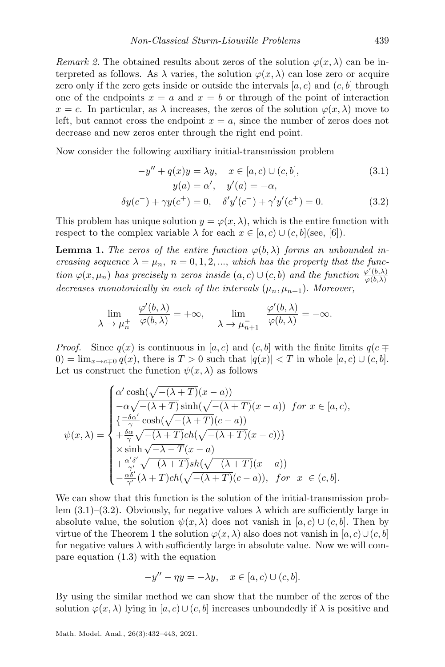Remark 2. The obtained results about zeros of the solution  $\varphi(x, \lambda)$  can be interpreted as follows. As  $\lambda$  varies, the solution  $\varphi(x, \lambda)$  can lose zero or acquire zero only if the zero gets inside or outside the intervals  $[a, c]$  and  $(c, b]$  through one of the endpoints  $x = a$  and  $x = b$  or through of the point of interaction  $x = c$ . In particular, as  $\lambda$  increases, the zeros of the solution  $\varphi(x, \lambda)$  move to left, but cannot cross the endpoint  $x = a$ , since the number of zeros does not decrease and new zeros enter through the right end point.

Now consider the following auxiliary initial-transmission problem

<span id="page-7-1"></span><span id="page-7-0"></span>
$$
-y'' + q(x)y = \lambda y, \quad x \in [a, c) \cup (c, b],
$$
  
\n
$$
y(a) = \alpha', \quad y'(a) = -\alpha,
$$
  
\n
$$
\delta y(c^-) + \gamma y(c^+) = 0, \quad \delta' y'(c^-) + \gamma' y'(c^+) = 0.
$$
\n(3.2)

This problem has unique solution  $y = \varphi(x, \lambda)$ , which is the entire function with respect to the complex variable  $\lambda$  for each  $x \in [a, c) \cup (c, b]$  (see, [\[6\]](#page-10-6)).

**Lemma 1.** The zeros of the entire function  $\varphi(b, \lambda)$  forms an unbounded increasing sequence  $\lambda = \mu_n$ ,  $n = 0, 1, 2, \dots$ , which has the property that the function  $\varphi(x,\mu_n)$  has precisely n zeros inside  $(a,c) \cup (c,b)$  and the function  $\frac{\varphi'(b,\lambda)}{\varphi(b,\lambda)}$  $\varphi(b,\lambda)$ decreases monotonically in each of the intervals  $(\mu_n, \mu_{n+1})$ . Moreover,

$$
\lim_{\lambda \to \mu_n^+} \frac{\varphi'(b, \lambda)}{\varphi(b, \lambda)} = +\infty, \quad \lim_{\lambda \to \mu_{n+1}^-} \frac{\varphi'(b, \lambda)}{\varphi(b, \lambda)} = -\infty.
$$

*Proof.* Since  $q(x)$  is continuous in [a, c) and (c, b] with the finite limits  $q(c \mp \sqrt{n})$  $(0) = \lim_{x \to c \pm 0} q(x)$ , there is  $T > 0$  such that  $|q(x)| < T$  in whole  $[a, c) \cup (c, b]$ . Let us construct the function  $\psi(x, \lambda)$  as follows

$$
\psi(x,\lambda) = \begin{cases}\n\alpha' \cosh(\sqrt{-(\lambda+T)}(x-a)) \\
-\alpha\sqrt{-(\lambda+T)} \sinh(\sqrt{-(\lambda+T)}(x-a)) \quad for \quad x \in [a,c), \\
\{\frac{-\delta\alpha'}{\gamma} \cosh(\sqrt{-(\lambda+T)}(c-a)) \\
+\frac{\delta\alpha}{\gamma}\sqrt{-(\lambda+T)}ch(\sqrt{-(\lambda+T)}(x-c))\} \\
\times \sinh\sqrt{-\lambda-T}(x-a) \\
+\frac{\alpha'\delta'}{\gamma'}\sqrt{-(\lambda+T)}sh(\sqrt{-(\lambda+T)}(x-a)) \\
-\frac{\alpha\delta'}{\gamma'}(\lambda+T)ch(\sqrt{-(\lambda+T)}(c-a)), \quad for \quad x \in (c,b].\n\end{cases}
$$

We can show that this function is the solution of the initial-transmission prob-lem [\(3.1\)](#page-7-0)–[\(3.2\)](#page-7-1). Obviously, for negative values  $\lambda$  which are sufficiently large in absolute value, the solution  $\psi(x, \lambda)$  does not vanish in [a, c) ∪ (c, b]. Then by virtue of the Theorem [1](#page-4-2) the solution  $\varphi(x, \lambda)$  also does not vanish in  $[a, c] \cup (c, b]$ for negative values  $\lambda$  with sufficiently large in absolute value. Now we will compare equation [\(1.3\)](#page-2-0) with the equation

$$
-y'' - \eta y = -\lambda y, \quad x \in [a, c) \cup (c, b].
$$

By using the similar method we can show that the number of the zeros of the solution  $\varphi(x, \lambda)$  lying in [a, c)∪(c, b] increases unboundedly if  $\lambda$  is positive and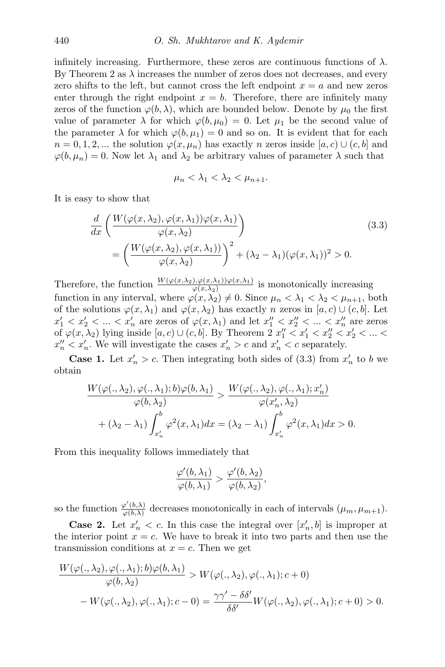infinitely increasing. Furthermore, these zeros are continuous functions of  $\lambda$ . By Theorem [2](#page-5-2) as  $\lambda$  increases the number of zeros does not decreases, and every zero shifts to the left, but cannot cross the left endpoint  $x = a$  and new zeros enter through the right endpoint  $x = b$ . Therefore, there are infinitely many zeros of the function  $\varphi(b, \lambda)$ , which are bounded below. Denote by  $\mu_0$  the first value of parameter  $\lambda$  for which  $\varphi(b,\mu_0) = 0$ . Let  $\mu_1$  be the second value of the parameter  $\lambda$  for which  $\varphi(b, \mu_1) = 0$  and so on. It is evident that for each  $n = 0, 1, 2, ...$  the solution  $\varphi(x, \mu_n)$  has exactly n zeros inside [a, c)  $\cup$  (c, b] and  $\varphi(b,\mu_n) = 0$ . Now let  $\lambda_1$  and  $\lambda_2$  be arbitrary values of parameter  $\lambda$  such that

<span id="page-8-0"></span>
$$
\mu_n < \lambda_1 < \lambda_2 < \mu_{n+1}.
$$

It is easy to show that

$$
\frac{d}{dx}\left(\frac{W(\varphi(x,\lambda_2),\varphi(x,\lambda_1))\varphi(x,\lambda_1)}{\varphi(x,\lambda_2)}\right)
$$
\n
$$
=\left(\frac{W(\varphi(x,\lambda_2),\varphi(x,\lambda_1))}{\varphi(x,\lambda_2)}\right)^2 + (\lambda_2 - \lambda_1)(\varphi(x,\lambda_1))^2 > 0.
$$
\n(3.3)

Therefore, the function  $\frac{W(\varphi(x,\lambda_2),\varphi(x,\lambda_1))\varphi(x,\lambda_1)}{\varphi(x,\lambda_2)}$  is monotonically increasing function in any interval, where  $\varphi(x, \lambda_2) \neq 0$ . Since  $\mu_n < \lambda_1 < \lambda_2 < \mu_{n+1}$ , both of the solutions  $\varphi(x, \lambda_1)$  and  $\varphi(x, \lambda_2)$  has exactly n zeros in [a, c) ∪ (c, b]. Let  $x'_1 < x'_2 < \ldots < x'_n$  are zeros of  $\varphi(x, \lambda_1)$  and let  $x''_1 < x''_2 < \ldots < x''_n$  are zeros of  $\varphi(x, \lambda_2)$  $\varphi(x, \lambda_2)$  $\varphi(x, \lambda_2)$  lying inside  $[a, c) \cup (c, b]$ . By Theorem 2  $x''_1 < x'_1 < x''_2 < x'_2 < \dots <$  $x_n'' < x_n'$ . We will investigate the cases  $x_n' > c$  and  $x_n' < c$  separately.

**Case 1.** Let  $x'_n > c$ . Then integrating both sides of [\(3.3\)](#page-8-0) from  $x'_n$  to b we obtain

$$
\frac{W(\varphi(.,\lambda_2),\varphi(.,\lambda_1);b)\varphi(b,\lambda_1)}{\varphi(b,\lambda_2)} > \frac{W(\varphi(.,\lambda_2),\varphi(.,\lambda_1);x'_n)}{\varphi(x'_n,\lambda_2)} + (\lambda_2 - \lambda_1) \int_{x'_n}^b \varphi^2(x,\lambda_1)dx = (\lambda_2 - \lambda_1) \int_{x'_n}^b \varphi^2(x,\lambda_1)dx > 0.
$$

From this inequality follows immediately that

$$
\frac{\varphi'(b,\lambda_1)}{\varphi(b,\lambda_1)} > \frac{\varphi'(b,\lambda_2)}{\varphi(b,\lambda_2)},
$$

so the function  $\frac{\varphi'(b,\lambda)}{\varphi(b,\lambda)}$  $\frac{\varphi(0,\lambda)}{\varphi(b,\lambda)}$  decreases monotonically in each of intervals  $(\mu_m, \mu_{m+1})$ .

**Case 2.** Let  $x'_n < c$ . In this case the integral over  $[x'_n, b]$  is improper at the interior point  $x = c$ . We have to break it into two parts and then use the transmission conditions at  $x = c$ . Then we get

$$
\frac{W(\varphi(.,\lambda_2),\varphi(.,\lambda_1);b)\varphi(b,\lambda_1)}{\varphi(b,\lambda_2)} > W(\varphi(.,\lambda_2),\varphi(.,\lambda_1);c+0) -W(\varphi(.,\lambda_2),\varphi(.,\lambda_1);c-0) = \frac{\gamma\gamma'-\delta\delta'}{\delta\delta'}W(\varphi(.,\lambda_2),\varphi(.,\lambda_1);c+0) > 0.
$$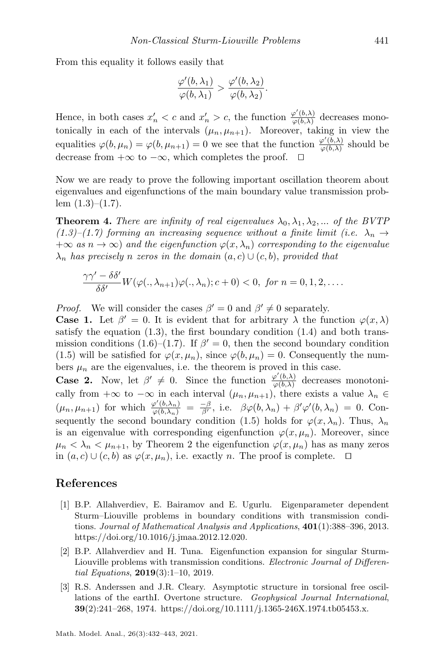From this equality it follows easily that

$$
\frac{\varphi'(b,\lambda_1)}{\varphi(b,\lambda_1)}>\frac{\varphi'(b,\lambda_2)}{\varphi(b,\lambda_2)}.
$$

Hence, in both cases  $x'_n < c$  and  $x'_n > c$ , the function  $\frac{\varphi'(b,\lambda)}{\varphi(b,\lambda)}$  $\frac{\varphi(0,\lambda)}{\varphi(b,\lambda)}$  decreases monotonically in each of the intervals  $(\mu_n, \mu_{n+1})$ . Moreover, taking in view the equalities  $\varphi(b,\mu_n) = \varphi(b,\mu_{n+1}) = 0$  we see that the function  $\frac{\varphi'(b,\lambda)}{\varphi(b,\lambda)}$  $\frac{\varphi(0,\lambda)}{\varphi(b,\lambda)}$  should be decrease from  $+\infty$  to  $-\infty$ , which completes the proof.

Now we are ready to prove the following important oscillation theorem about eigenvalues and eigenfunctions of the main boundary value transmission problem  $(1.3)$ – $(1.7)$ .

**Theorem 4.** There are infinity of real eigenvalues  $\lambda_0, \lambda_1, \lambda_2, ...$  of the BVTP  $(1.3)$ – $(1.7)$  forming an increasing sequence without a finite limit (i.e.  $\lambda_n \rightarrow$  $+\infty$  as  $n \to \infty$ ) and the eigenfunction  $\varphi(x, \lambda_n)$  corresponding to the eigenvalue  $\lambda_n$  has precisely n zeros in the domain  $(a, c) \cup (c, b)$ , provided that

$$
\frac{\gamma\gamma'-\delta\delta'}{\delta\delta'}W(\varphi(.,\lambda_{n+1})\varphi(.,\lambda_n);c+0)<0, \text{ for } n=0,1,2,\ldots.
$$

*Proof.* We will consider the cases  $\beta' = 0$  and  $\beta' \neq 0$  separately.

**Case 1.** Let  $\beta' = 0$ . It is evident that for arbitrary  $\lambda$  the function  $\varphi(x, \lambda)$ satisfy the equation  $(1.3)$ , the first boundary condition  $(1.4)$  and both trans-mission conditions [\(1.6\)](#page-2-2)–[\(1.7\)](#page-2-1). If  $\beta' = 0$ , then the second boundary condition [\(1.5\)](#page-2-4) will be satisfied for  $\varphi(x,\mu_n)$ , since  $\varphi(b,\mu_n) = 0$ . Consequently the numbers  $\mu_n$  are the eigenvalues, i.e. the theorem is proved in this case.

**Case 2.** Now, let  $\beta' \neq 0$ . Since the function  $\frac{\varphi'(b,\lambda)}{\varphi(b,\lambda)}$  $\frac{\varphi(0,\lambda)}{\varphi(b,\lambda)}$  decreases monotonically from  $+\infty$  to  $-\infty$  in each interval  $(\mu_n, \mu_{n+1})$ , there exists a value  $\lambda_n \in$  $(\mu_n, \mu_{n+1})$  for which  $\frac{\varphi'(b,\lambda_n)}{\varphi(b,\lambda_n)} = \frac{-\beta}{\beta'}$ , i.e.  $\beta \varphi(b,\lambda_n) + \beta' \varphi'(b,\lambda_n) = 0$ . Con-sequently the second boundary condition [\(1.5\)](#page-2-4) holds for  $\varphi(x, \lambda_n)$ . Thus,  $\lambda_n$ is an eigenvalue with corresponding eigenfunction  $\varphi(x, \mu_n)$ . Moreover, since  $\mu_n < \lambda_n < \mu_{n+1}$ , by Theorem [2](#page-5-2) the eigenfunction  $\varphi(x, \mu_n)$  has as many zeros in  $(a, c) \cup (c, b)$  as  $\varphi(x, \mu_n)$ , i.e. exactly n. The proof is complete.  $\Box$ 

#### References

- <span id="page-9-1"></span>[1] B.P. Allahverdiev, E. Bairamov and E. Ugurlu. Eigenparameter dependent Sturm–Liouville problems in boundary conditions with transmission conditions. Journal of Mathematical Analysis and Applications, 401(1):388–396, 2013. [https://doi.org/10.1016/j.jmaa.2012.12.020.](https://doi.org/10.1016/j.jmaa.2012.12.020)
- <span id="page-9-2"></span>[2] B.P. Allahverdiev and H. Tuna. Eigenfunction expansion for singular Sturm-Liouville problems with transmission conditions. *Electronic Journal of Differen*tial Equations, 2019(3):1–10, 2019.
- <span id="page-9-0"></span>[3] R.S. Anderssen and J.R. Cleary. Asymptotic structure in torsional free oscillations of the earthI. Overtone structure. Geophysical Journal International,  $39(2):241-268$ , 1974. [https://doi.org/10.1111/j.1365-246X.1974.tb05453.x.](https://doi.org/10.1111/j.1365-246X.1974.tb05453.x)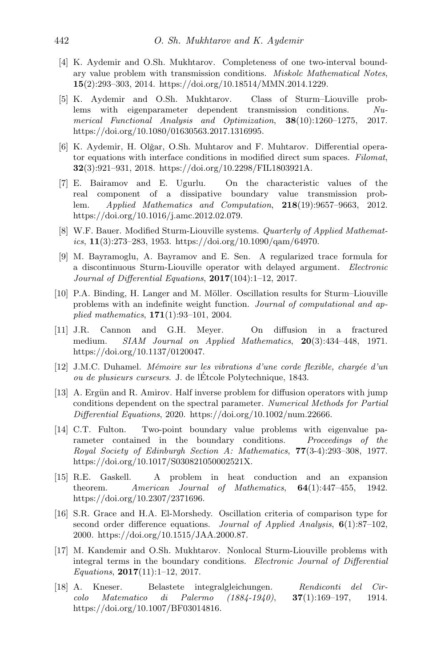- <span id="page-10-4"></span>[4] K. Aydemir and O.Sh. Mukhtarov. Completeness of one two-interval boundary value problem with transmission conditions. Miskolc Mathematical Notes, 15(2):293–303, 2014. [https://doi.org/10.18514/MMN.2014.1229.](https://doi.org/10.18514/MMN.2014.1229)
- <span id="page-10-5"></span>[5] K. Aydemir and O.Sh. Mukhtarov. Class of Sturm–Liouville problems with eigenparameter dependent transmission conditions. Numerical Functional Analysis and Optimization, 38(10):1260–1275, 2017. [https://doi.org/10.1080/01630563.2017.1316995.](https://doi.org/10.1080/01630563.2017.1316995)
- <span id="page-10-6"></span>[6] K. Aydemir, H. Olğar, O.Sh. Muhtarov and F. Muhtarov. Differential operator equations with interface conditions in modified direct sum spaces. Filomat, 32(3):921–931, 2018. [https://doi.org/10.2298/FIL1803921A.](https://doi.org/10.2298/FIL1803921A)
- <span id="page-10-7"></span>[7] E. Bairamov and E. Ugurlu. On the characteristic values of the real component of a dissipative boundary value transmission problem. Applied Mathematics and Computation, 218(19):9657–9663, 2012. [https://doi.org/10.1016/j.amc.2012.02.079.](https://doi.org/10.1016/j.amc.2012.02.079)
- <span id="page-10-13"></span>[8] W.F. Bauer. Modified Sturm-Liouville systems. Quarterly of Applied Mathematics,  $11(3):273-283$ , 1953. [https://doi.org/10.1090/qam/64970.](https://doi.org/10.1090/qam/64970)
- <span id="page-10-2"></span>[9] M. Bayramoglu, A. Bayramov and E. Sen. A regularized trace formula for a discontinuous Sturm-Liouville operator with delayed argument. Electronic Journal of Differential Equations, 2017(104):1–12, 2017.
- <span id="page-10-1"></span>[10] P.A. Binding, H. Langer and M. Möller. Oscillation results for Sturm–Liouville problems with an indefinite weight function. Journal of computational and applied mathematics,  $171(1):93-101$ , 2004.
- <span id="page-10-0"></span>[11] J.R. Cannon and G.H. Meyer. On diffusion in a fractured medium. SIAM Journal on Applied Mathematics, 20(3):434-448, 1971. [https://doi.org/10.1137/0120047.](https://doi.org/10.1137/0120047)
- <span id="page-10-10"></span> $[12]$  J.M.C. Duhamel. *Mémoire sur les vibrations d'une corde flexible, chargée d'un* ou de plusieurs curseurs. J. de lEtcole Polytechnique, 1843. ´
- <span id="page-10-8"></span>[13] A. Ergün and R. Amirov. Half inverse problem for diffusion operators with jump conditions dependent on the spectral parameter. Numerical Methods for Partial Differential Equations, 2020. [https://doi.org/10.1002/num.22666.](https://doi.org/10.1002/num.22666)
- <span id="page-10-11"></span>[14] C.T. Fulton. Two-point boundary value problems with eigenvalue parameter contained in the boundary conditions. Proceedings of the Royal Society of Edinburgh Section A: Mathematics, 77(3-4):293–308, 1977. [https://doi.org/10.1017/S030821050002521X.](https://doi.org/10.1017/S030821050002521X)
- <span id="page-10-14"></span>[15] R.E. Gaskell. A problem in heat conduction and an expansion theorem. American Journal of Mathematics,  $64(1):447-455$ , 1942. [https://doi.org/10.2307/2371696.](https://doi.org/10.2307/2371696)
- <span id="page-10-3"></span>[16] S.R. Grace and H.A. El-Morshedy. Oscillation criteria of comparison type for second order difference equations. Journal of Applied Analysis,  $6(1)$ :87-102, 2000. [https://doi.org/10.1515/JAA.2000.87.](https://doi.org/10.1515/JAA.2000.87)
- <span id="page-10-9"></span>[17] M. Kandemir and O.Sh. Mukhtarov. Nonlocal Sturm-Liouville problems with integral terms in the boundary conditions. Electronic Journal of Differential Equations,  $2017(11):1-12$ , 2017.
- <span id="page-10-12"></span>[18] A. Kneser. Belastete integralgleichungen. Rendiconti del Circolo Matematico di Palermo (1884-1940), 37(1):169–197, 1914. [https://doi.org/10.1007/BF03014816.](https://doi.org/10.1007/BF03014816)